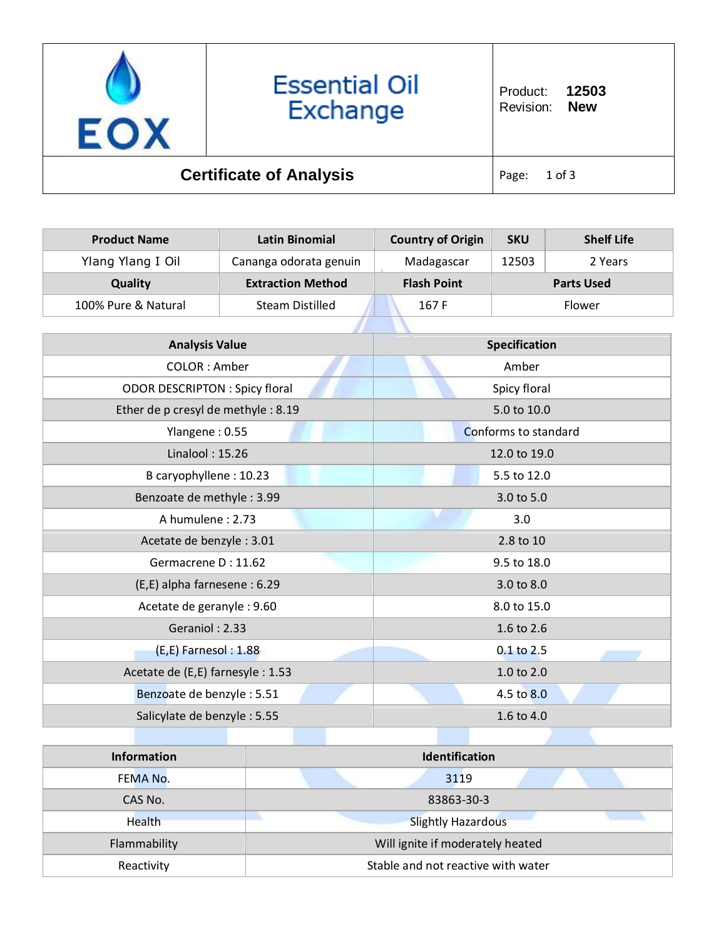

| <b>Product Name</b>                   | <b>Latin Binomial</b>    | <b>Country of Origin</b> | <b>SKU</b> | <b>Shelf Life</b> |
|---------------------------------------|--------------------------|--------------------------|------------|-------------------|
| Ylang Ylang I Oil                     | Cananga odorata genuin   | Madagascar               | 12503      | 2 Years           |
| <b>Quality</b>                        | <b>Extraction Method</b> | <b>Flash Point</b>       |            | <b>Parts Used</b> |
| 100% Pure & Natural                   | <b>Steam Distilled</b>   | 167 F                    | Flower     |                   |
|                                       |                          |                          |            |                   |
| <b>Analysis Value</b>                 |                          | <b>Specification</b>     |            |                   |
| COLOR: Amber                          |                          | Amber                    |            |                   |
| <b>ODOR DESCRIPTON : Spicy floral</b> |                          | Spicy floral             |            |                   |
| Ether de p cresyl de methyle: 8.19    |                          | 5.0 to 10.0              |            |                   |
| Ylangene: 0.55                        |                          | Conforms to standard     |            |                   |
| Linalool: 15.26                       |                          | 12.0 to 19.0             |            |                   |
| B caryophyllene: 10.23                |                          | 5.5 to 12.0              |            |                   |
| Benzoate de methyle: 3.99             |                          | 3.0 to 5.0               |            |                   |
| A humulene: 2.73                      |                          | 3.0                      |            |                   |
| Acetate de benzyle: 3.01              |                          | 2.8 to 10                |            |                   |
| Germacrene D: 11.62                   |                          | 9.5 to 18.0              |            |                   |
| (E,E) alpha farnesene : 6.29          |                          | 3.0 to 8.0               |            |                   |
| Acetate de geranyle : 9.60            |                          | 8.0 to 15.0              |            |                   |
| Geraniol: 2.33                        |                          | 1.6 to 2.6               |            |                   |
| (E,E) Farnesol: 1.88                  |                          | 0.1 to 2.5               |            |                   |
| Acetate de (E,E) farnesyle : 1.53     |                          |                          | 1.0 to 2.0 |                   |
| Benzoate de benzyle: 5.51             |                          |                          | 4.5 to 8.0 |                   |
| Salicylate de benzyle: 5.55           |                          |                          | 1.6 to 4.0 |                   |
|                                       |                          |                          |            |                   |

| <b>Information</b> | <b>Identification</b>              |  |
|--------------------|------------------------------------|--|
| FEMA No.           | 3119                               |  |
| CAS No.            | 83863-30-3                         |  |
| Health             | <b>Slightly Hazardous</b>          |  |
| Flammability       | Will ignite if moderately heated   |  |
| Reactivity         | Stable and not reactive with water |  |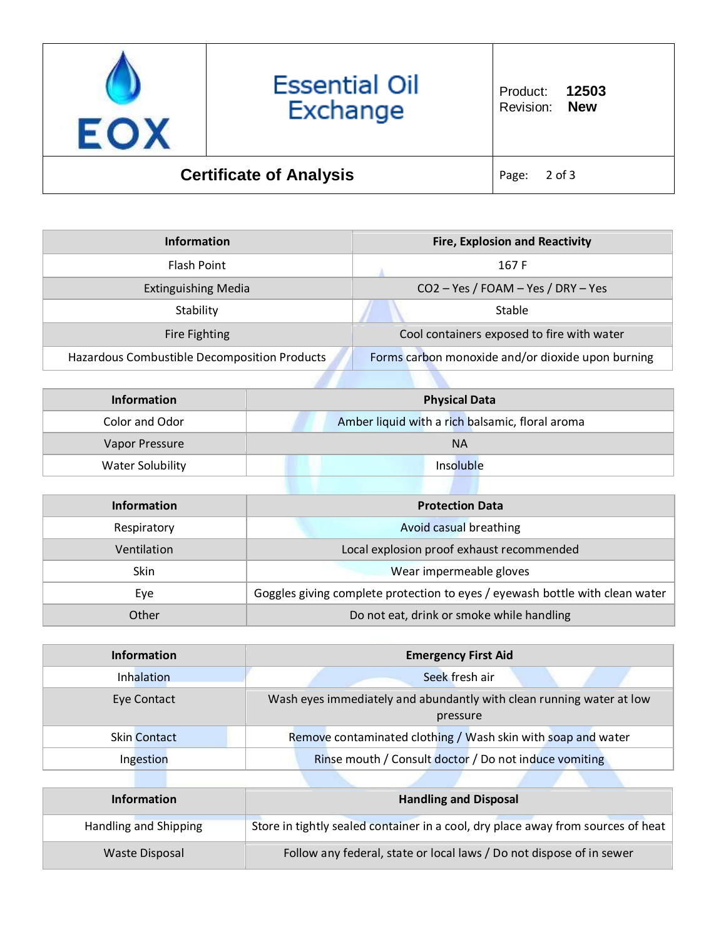

| <b>Information</b>                           | <b>Fire, Explosion and Reactivity</b>             |  |
|----------------------------------------------|---------------------------------------------------|--|
| Flash Point                                  | 167 F                                             |  |
| <b>Extinguishing Media</b>                   | CO2 - Yes / FOAM - Yes / DRY - Yes                |  |
| Stability                                    | Stable                                            |  |
| <b>Fire Fighting</b>                         | Cool containers exposed to fire with water        |  |
| Hazardous Combustible Decomposition Products | Forms carbon monoxide and/or dioxide upon burning |  |

| <b>Information</b>      | <b>Physical Data</b>                            |  |
|-------------------------|-------------------------------------------------|--|
| Color and Odor          | Amber liquid with a rich balsamic, floral aroma |  |
| Vapor Pressure          | <b>NA</b>                                       |  |
| <b>Water Solubility</b> | Insoluble                                       |  |

| Information | <b>Protection Data</b>                                                       |  |
|-------------|------------------------------------------------------------------------------|--|
| Respiratory | Avoid casual breathing                                                       |  |
| Ventilation | Local explosion proof exhaust recommended                                    |  |
| <b>Skin</b> | Wear impermeable gloves                                                      |  |
| Eye         | Goggles giving complete protection to eyes / eyewash bottle with clean water |  |
| Other       | Do not eat, drink or smoke while handling                                    |  |

| <b>Information</b>  | <b>Emergency First Aid</b>                                                       |
|---------------------|----------------------------------------------------------------------------------|
| Inhalation          | Seek fresh air                                                                   |
| Eye Contact         | Wash eyes immediately and abundantly with clean running water at low<br>pressure |
| <b>Skin Contact</b> | Remove contaminated clothing / Wash skin with soap and water                     |
| Ingestion           | Rinse mouth / Consult doctor / Do not induce vomiting                            |

| <b>Information</b>    | <b>Handling and Disposal</b>                                                     |
|-----------------------|----------------------------------------------------------------------------------|
| Handling and Shipping | Store in tightly sealed container in a cool, dry place away from sources of heat |
| Waste Disposal        | Follow any federal, state or local laws / Do not dispose of in sewer             |